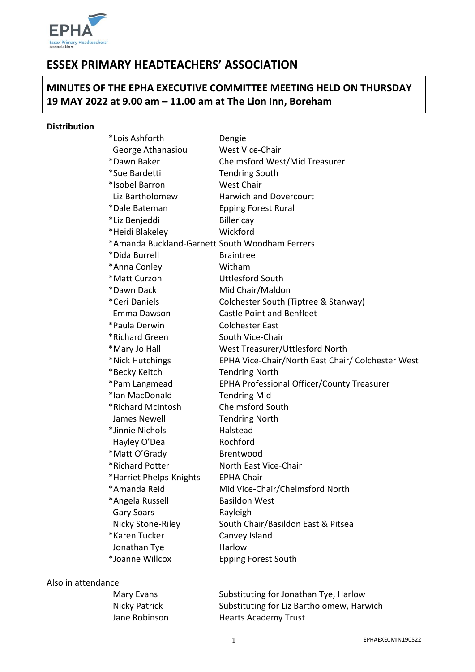

# **ESSEX PRIMARY HEADTEACHERS' ASSOCIATION**

## **MINUTES OF THE EPHA EXECUTIVE COMMITTEE MEETING HELD ON THURSDAY 19 MAY 2022 at 9.00 am – 11.00 am at The Lion Inn, Boreham**

#### **Distribution**

| *Lois Ashforth                                 | Dengie                                            |
|------------------------------------------------|---------------------------------------------------|
| George Athanasiou                              | West Vice-Chair                                   |
| *Dawn Baker                                    | Chelmsford West/Mid Treasurer                     |
| *Sue Bardetti                                  | <b>Tendring South</b>                             |
| *Isobel Barron                                 | <b>West Chair</b>                                 |
| Liz Bartholomew                                | <b>Harwich and Dovercourt</b>                     |
| *Dale Bateman                                  | <b>Epping Forest Rural</b>                        |
| *Liz Benjeddi                                  | <b>Billericay</b>                                 |
| *Heidi Blakeley                                | Wickford                                          |
| *Amanda Buckland-Garnett South Woodham Ferrers |                                                   |
| *Dida Burrell                                  | <b>Braintree</b>                                  |
| *Anna Conley                                   | Witham                                            |
| *Matt Curzon                                   | <b>Uttlesford South</b>                           |
| *Dawn Dack                                     | Mid Chair/Maldon                                  |
| *Ceri Daniels                                  | Colchester South (Tiptree & Stanway)              |
| Emma Dawson                                    | <b>Castle Point and Benfleet</b>                  |
| *Paula Derwin                                  | <b>Colchester East</b>                            |
| *Richard Green                                 | South Vice-Chair                                  |
| *Mary Jo Hall                                  | West Treasurer/Uttlesford North                   |
| *Nick Hutchings                                | EPHA Vice-Chair/North East Chair/ Colchester West |
| *Becky Keitch                                  | <b>Tendring North</b>                             |
| *Pam Langmead                                  | EPHA Professional Officer/County Treasurer        |
| *Ian MacDonald                                 | <b>Tendring Mid</b>                               |
| *Richard McIntosh                              | <b>Chelmsford South</b>                           |
| James Newell                                   | <b>Tendring North</b>                             |
| *Jinnie Nichols                                | Halstead                                          |
| Hayley O'Dea                                   | Rochford                                          |
| *Matt O'Grady                                  | Brentwood                                         |
| *Richard Potter                                | North East Vice-Chair                             |
| *Harriet Phelps-Knights                        | <b>EPHA Chair</b>                                 |
| *Amanda Reid                                   | Mid Vice-Chair/Chelmsford North                   |
| *Angela Russell                                | <b>Basildon West</b>                              |
| <b>Gary Soars</b>                              | Rayleigh                                          |
| Nicky Stone-Riley                              | South Chair/Basildon East & Pitsea                |
| *Karen Tucker                                  | Canvey Island                                     |
| Jonathan Tye                                   | Harlow                                            |
| *Joanne Willcox                                | <b>Epping Forest South</b>                        |
|                                                |                                                   |

#### Also in attendance

| Mary Evans    | Substituting for Jonathan Tye, Harlow     |
|---------------|-------------------------------------------|
| Nicky Patrick | Substituting for Liz Bartholomew, Harwich |
| Jane Robinson | <b>Hearts Academy Trust</b>               |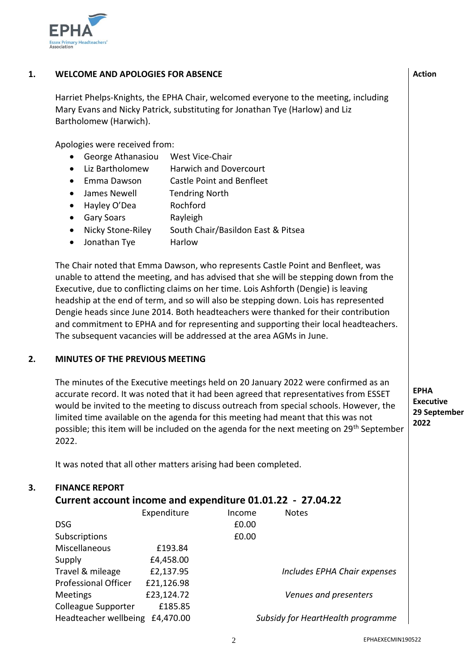

### **1. WELCOME AND APOLOGIES FOR ABSENCE**

Harriet Phelps-Knights, the EPHA Chair, welcomed everyone to the meeting, including Mary Evans and Nicky Patrick, substituting for Jonathan Tye (Harlow) and Liz Bartholomew (Harwich).

Apologies were received from:

- George Athanasiou West Vice-Chair
- Liz Bartholomew Harwich and Dovercourt
- Emma Dawson Castle Point and Benfleet
- James Newell Tendring North
- Hayley O'Dea Rochford
- Gary Soars **Rayleigh**
- Nicky Stone-Riley South Chair/Basildon East & Pitsea
- Jonathan Tye Harlow

The Chair noted that Emma Dawson, who represents Castle Point and Benfleet, was unable to attend the meeting, and has advised that she will be stepping down from the Executive, due to conflicting claims on her time. Lois Ashforth (Dengie) is leaving headship at the end of term, and so will also be stepping down. Lois has represented Dengie heads since June 2014. Both headteachers were thanked for their contribution and commitment to EPHA and for representing and supporting their local headteachers. The subsequent vacancies will be addressed at the area AGMs in June.

### **2. MINUTES OF THE PREVIOUS MEETING**

The minutes of the Executive meetings held on 20 January 2022 were confirmed as an accurate record. It was noted that it had been agreed that representatives from ESSET would be invited to the meeting to discuss outreach from special schools. However, the limited time available on the agenda for this meeting had meant that this was not possible; this item will be included on the agenda for the next meeting on 29<sup>th</sup> September 2022.

**EPHA Executive 29 September 2022**

It was noted that all other matters arising had been completed.

#### **3. FINANCE REPORT**

### **Current account income and expenditure 01.01.22 - 27.04.22**

|                             | Expenditure | Income | <b>Notes</b>                      |
|-----------------------------|-------------|--------|-----------------------------------|
| <b>DSG</b>                  |             | £0.00  |                                   |
| Subscriptions               |             | £0.00  |                                   |
| Miscellaneous               | £193.84     |        |                                   |
| Supply                      | £4,458.00   |        |                                   |
| Travel & mileage            | £2,137.95   |        | Includes EPHA Chair expenses      |
| <b>Professional Officer</b> | £21,126.98  |        |                                   |
| <b>Meetings</b>             | £23,124.72  |        | Venues and presenters             |
| Colleague Supporter         | £185.85     |        |                                   |
| Headteacher wellbeing       | £4,470.00   |        | Subsidy for HeartHealth programme |

**Action**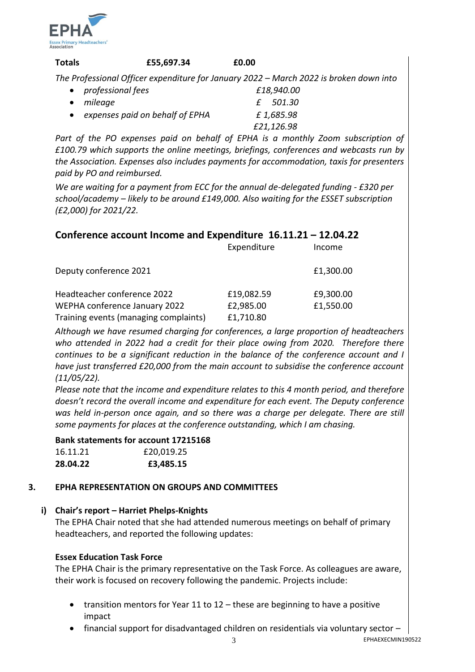

| <b>Totals</b>       | £55,697.34 | £0.00 |                                                                                        |
|---------------------|------------|-------|----------------------------------------------------------------------------------------|
|                     |            |       | The Professional Officer expenditure for January 2022 - March 2022 is broken down into |
| • professional fees |            |       | £18,940.00                                                                             |
| mileage             |            |       | £ 501.30                                                                               |

| $\bullet$ <i>inneuge</i>        | L JUI.JU   |
|---------------------------------|------------|
| expenses paid on behalf of EPHA | £1,685.98  |
|                                 | £21,126.98 |

Part of the PO expenses paid on behalf of EPHA is a monthly Zoom subscription of *£100.79 which supports the online meetings, briefings, conferences and webcasts run by the Association. Expenses also includes payments for accommodation, taxis for presenters paid by PO and reimbursed.* 

*We are waiting for a payment from ECC for the annual de-delegated funding - £320 per school/academy – likely to be around £149,000. Also waiting for the ESSET subscription (£2,000) for 2021/22.* 

### **Conference account Income and Expenditure 16.11.21 – 12.04.22**

|                                       | Expenditure | Income    |
|---------------------------------------|-------------|-----------|
| Deputy conference 2021                |             | £1,300.00 |
| Headteacher conference 2022           | £19,082.59  | £9,300.00 |
| WEPHA conference January 2022         | £2,985.00   | £1,550.00 |
| Training events (managing complaints) | £1,710.80   |           |

*Although we have resumed charging for conferences, a large proportion of headteachers who attended in 2022 had a credit for their place owing from 2020. Therefore there continues to be a significant reduction in the balance of the conference account and I have just transferred £20,000 from the main account to subsidise the conference account (11/05/22).* 

*Please note that the income and expenditure relates to this 4 month period, and therefore doesn't record the overall income and expenditure for each event. The Deputy conference was held in-person once again, and so there was a charge per delegate. There are still some payments for places at the conference outstanding, which I am chasing.* 

### **Bank statements for account 17215168**

| 16.11.21 | £20,019.25 |
|----------|------------|
| 28.04.22 | £3,485.15  |

#### **3. EPHA REPRESENTATION ON GROUPS AND COMMITTEES**

### **i) Chair's report – Harriet Phelps-Knights**

The EPHA Chair noted that she had attended numerous meetings on behalf of primary headteachers, and reported the following updates:

### **Essex Education Task Force**

The EPHA Chair is the primary representative on the Task Force. As colleagues are aware, their work is focused on recovery following the pandemic. Projects include:

- transition mentors for Year 11 to 12 these are beginning to have a positive impact
- $\bullet$  financial support for disadvantaged children on residentials via voluntary sector  $-$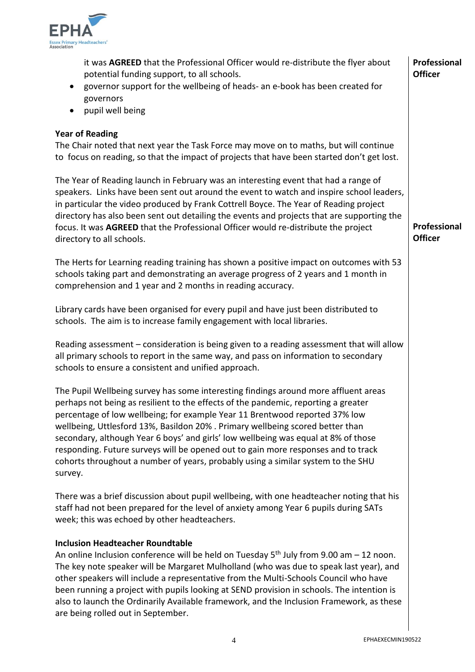

| it was AGREED that the Professional Officer would re-distribute the flyer about<br>potential funding support, to all schools.<br>governor support for the wellbeing of heads- an e-book has been created for<br>governors<br>pupil well being<br>$\bullet$                                                                                                                                                                                                                                                                                                                                                           | Professional<br><b>Officer</b> |
|----------------------------------------------------------------------------------------------------------------------------------------------------------------------------------------------------------------------------------------------------------------------------------------------------------------------------------------------------------------------------------------------------------------------------------------------------------------------------------------------------------------------------------------------------------------------------------------------------------------------|--------------------------------|
| <b>Year of Reading</b><br>The Chair noted that next year the Task Force may move on to maths, but will continue<br>to focus on reading, so that the impact of projects that have been started don't get lost.                                                                                                                                                                                                                                                                                                                                                                                                        |                                |
| The Year of Reading launch in February was an interesting event that had a range of<br>speakers. Links have been sent out around the event to watch and inspire school leaders,<br>in particular the video produced by Frank Cottrell Boyce. The Year of Reading project<br>directory has also been sent out detailing the events and projects that are supporting the<br>focus. It was AGREED that the Professional Officer would re-distribute the project<br>directory to all schools.                                                                                                                            | Professional<br><b>Officer</b> |
| The Herts for Learning reading training has shown a positive impact on outcomes with 53<br>schools taking part and demonstrating an average progress of 2 years and 1 month in<br>comprehension and 1 year and 2 months in reading accuracy.                                                                                                                                                                                                                                                                                                                                                                         |                                |
| Library cards have been organised for every pupil and have just been distributed to<br>schools. The aim is to increase family engagement with local libraries.                                                                                                                                                                                                                                                                                                                                                                                                                                                       |                                |
| Reading assessment - consideration is being given to a reading assessment that will allow<br>all primary schools to report in the same way, and pass on information to secondary<br>schools to ensure a consistent and unified approach.                                                                                                                                                                                                                                                                                                                                                                             |                                |
| The Pupil Wellbeing survey has some interesting findings around more affluent areas<br>perhaps not being as resilient to the effects of the pandemic, reporting a greater<br>percentage of low wellbeing; for example Year 11 Brentwood reported 37% low<br>wellbeing, Uttlesford 13%, Basildon 20% . Primary wellbeing scored better than<br>secondary, although Year 6 boys' and girls' low wellbeing was equal at 8% of those<br>responding. Future surveys will be opened out to gain more responses and to track<br>cohorts throughout a number of years, probably using a similar system to the SHU<br>survey. |                                |
| There was a brief discussion about pupil wellbeing, with one headteacher noting that his<br>staff had not been prepared for the level of anxiety among Year 6 pupils during SATs<br>week; this was echoed by other headteachers.                                                                                                                                                                                                                                                                                                                                                                                     |                                |
| <b>Inclusion Headteacher Roundtable</b><br>An online Inclusion conference will be held on Tuesday $5th$ July from 9.00 am $-12$ noon.<br>The key note speaker will be Margaret Mulholland (who was due to speak last year), and<br>other speakers will include a representative from the Multi-Schools Council who have<br>been running a project with pupils looking at SEND provision in schools. The intention is<br>also to launch the Ordinarily Available framework, and the Inclusion Framework, as these<br>are being rolled out in September.                                                               |                                |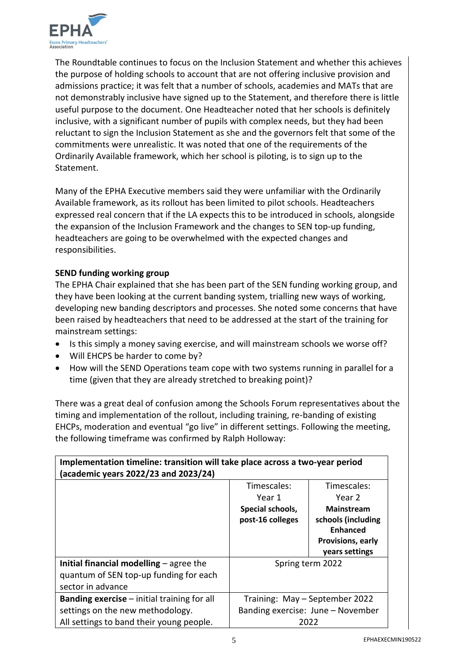

The Roundtable continues to focus on the Inclusion Statement and whether this achieves the purpose of holding schools to account that are not offering inclusive provision and admissions practice; it was felt that a number of schools, academies and MATs that are not demonstrably inclusive have signed up to the Statement, and therefore there is little useful purpose to the document. One Headteacher noted that her schools is definitely inclusive, with a significant number of pupils with complex needs, but they had been reluctant to sign the Inclusion Statement as she and the governors felt that some of the commitments were unrealistic. It was noted that one of the requirements of the Ordinarily Available framework, which her school is piloting, is to sign up to the Statement.

Many of the EPHA Executive members said they were unfamiliar with the Ordinarily Available framework, as its rollout has been limited to pilot schools. Headteachers expressed real concern that if the LA expects this to be introduced in schools, alongside the expansion of the Inclusion Framework and the changes to SEN top-up funding, headteachers are going to be overwhelmed with the expected changes and responsibilities.

### **SEND funding working group**

The EPHA Chair explained that she has been part of the SEN funding working group, and they have been looking at the current banding system, trialling new ways of working, developing new banding descriptors and processes. She noted some concerns that have been raised by headteachers that need to be addressed at the start of the training for mainstream settings:

- Is this simply a money saving exercise, and will mainstream schools we worse off?
- Will EHCPS be harder to come by?
- How will the SEND Operations team cope with two systems running in parallel for a time (given that they are already stretched to breaking point)?

There was a great deal of confusion among the Schools Forum representatives about the timing and implementation of the rollout, including training, re-banding of existing EHCPs, moderation and eventual "go live" in different settings. Following the meeting, the following timeframe was confirmed by Ralph Holloway:

| Implementation timeline: transition will take place across a two-year period<br>(academic years 2022/23 and 2023/24) |                                      |                                                                                                   |
|----------------------------------------------------------------------------------------------------------------------|--------------------------------------|---------------------------------------------------------------------------------------------------|
|                                                                                                                      | Timescales:                          | Timescales:                                                                                       |
|                                                                                                                      | Year 1                               | Year 2                                                                                            |
|                                                                                                                      | Special schools,<br>post-16 colleges | <b>Mainstream</b><br>schools (including<br><b>Enhanced</b><br>Provisions, early<br>years settings |
| Initial financial modelling $-$ agree the<br>quantum of SEN top-up funding for each<br>sector in advance             |                                      | Spring term 2022                                                                                  |
| <b>Banding exercise</b> – initial training for all                                                                   |                                      | Training: May - September 2022                                                                    |
| settings on the new methodology.                                                                                     |                                      | Banding exercise: June - November                                                                 |
| All settings to band their young people.                                                                             |                                      | 2022                                                                                              |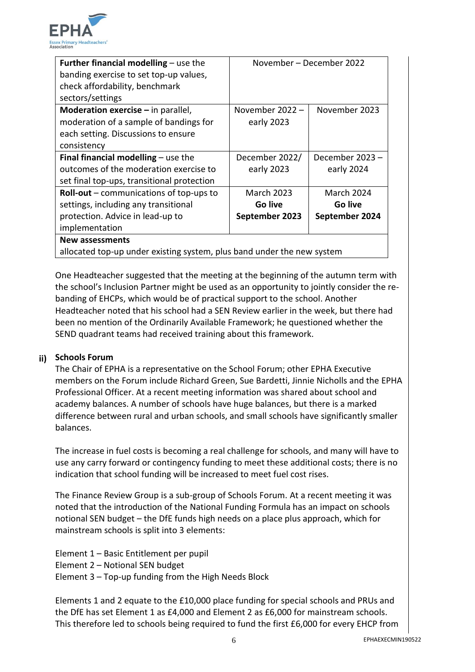

| <b>Further financial modelling – use the</b>                           | November – December 2022 |                   |
|------------------------------------------------------------------------|--------------------------|-------------------|
| banding exercise to set top-up values,                                 |                          |                   |
| check affordability, benchmark                                         |                          |                   |
| sectors/settings                                                       |                          |                   |
| <b>Moderation exercise</b> $-$ in parallel,                            | November 2022 $-$        | November 2023     |
| moderation of a sample of bandings for                                 | early 2023               |                   |
| each setting. Discussions to ensure                                    |                          |                   |
| consistency                                                            |                          |                   |
| Final financial modelling $-$ use the                                  | December 2022/           | December 2023 -   |
| outcomes of the moderation exercise to                                 | early 2023               | early 2024        |
| set final top-ups, transitional protection                             |                          |                   |
| <b>Roll-out</b> – communications of top-ups to                         | <b>March 2023</b>        | <b>March 2024</b> |
| settings, including any transitional                                   | Go live                  | Go live           |
| protection. Advice in lead-up to                                       | September 2023           | September 2024    |
| implementation                                                         |                          |                   |
| New assessments                                                        |                          |                   |
| allocated top-up under existing system, plus band under the new system |                          |                   |

One Headteacher suggested that the meeting at the beginning of the autumn term with the school's Inclusion Partner might be used as an opportunity to jointly consider the rebanding of EHCPs, which would be of practical support to the school. Another Headteacher noted that his school had a SEN Review earlier in the week, but there had been no mention of the Ordinarily Available Framework; he questioned whether the SEND quadrant teams had received training about this framework.

### **ii) Schools Forum**

The Chair of EPHA is a representative on the School Forum; other EPHA Executive members on the Forum include Richard Green, Sue Bardetti, Jinnie Nicholls and the EPHA Professional Officer. At a recent meeting information was shared about school and academy balances. A number of schools have huge balances, but there is a marked difference between rural and urban schools, and small schools have significantly smaller balances.

The increase in fuel costs is becoming a real challenge for schools, and many will have to use any carry forward or contingency funding to meet these additional costs; there is no indication that school funding will be increased to meet fuel cost rises.

The Finance Review Group is a sub-group of Schools Forum. At a recent meeting it was noted that the introduction of the National Funding Formula has an impact on schools notional SEN budget – the DfE funds high needs on a place plus approach, which for mainstream schools is split into 3 elements:

Element 1 – Basic Entitlement per pupil

Element 2 – Notional SEN budget

Element 3 – Top-up funding from the High Needs Block

Elements 1 and 2 equate to the £10,000 place funding for special schools and PRUs and the DfE has set Element 1 as £4,000 and Element 2 as £6,000 for mainstream schools. This therefore led to schools being required to fund the first £6,000 for every EHCP from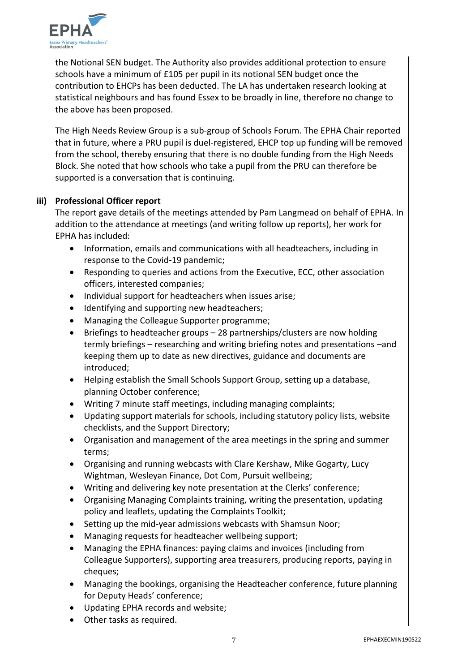

the Notional SEN budget. The Authority also provides additional protection to ensure schools have a minimum of £105 per pupil in its notional SEN budget once the contribution to EHCPs has been deducted. The LA has undertaken research looking at statistical neighbours and has found Essex to be broadly in line, therefore no change to the above has been proposed.

The High Needs Review Group is a sub-group of Schools Forum. The EPHA Chair reported that in future, where a PRU pupil is duel-registered, EHCP top up funding will be removed from the school, thereby ensuring that there is no double funding from the High Needs Block. She noted that how schools who take a pupil from the PRU can therefore be supported is a conversation that is continuing.

### **iii) Professional Officer report**

The report gave details of the meetings attended by Pam Langmead on behalf of EPHA. In addition to the attendance at meetings (and writing follow up reports), her work for EPHA has included:

- Information, emails and communications with all headteachers, including in response to the Covid-19 pandemic;
- Responding to queries and actions from the Executive, ECC, other association officers, interested companies;
- Individual support for headteachers when issues arise;
- Identifying and supporting new headteachers;
- Managing the Colleague Supporter programme;
- Briefings to headteacher groups 28 partnerships/clusters are now holding termly briefings – researching and writing briefing notes and presentations –and keeping them up to date as new directives, guidance and documents are introduced;
- Helping establish the Small Schools Support Group, setting up a database, planning October conference;
- Writing 7 minute staff meetings, including managing complaints;
- Updating support materials for schools, including statutory policy lists, website checklists, and the Support Directory;
- Organisation and management of the area meetings in the spring and summer terms;
- Organising and running webcasts with Clare Kershaw, Mike Gogarty, Lucy Wightman, Wesleyan Finance, Dot Com, Pursuit wellbeing;
- Writing and delivering key note presentation at the Clerks' conference;
- Organising Managing Complaints training, writing the presentation, updating policy and leaflets, updating the Complaints Toolkit;
- Setting up the mid-year admissions webcasts with Shamsun Noor;
- Managing requests for headteacher wellbeing support;
- Managing the EPHA finances: paying claims and invoices (including from Colleague Supporters), supporting area treasurers, producing reports, paying in cheques;
- Managing the bookings, organising the Headteacher conference, future planning for Deputy Heads' conference;
- Updating EPHA records and website;
- Other tasks as required.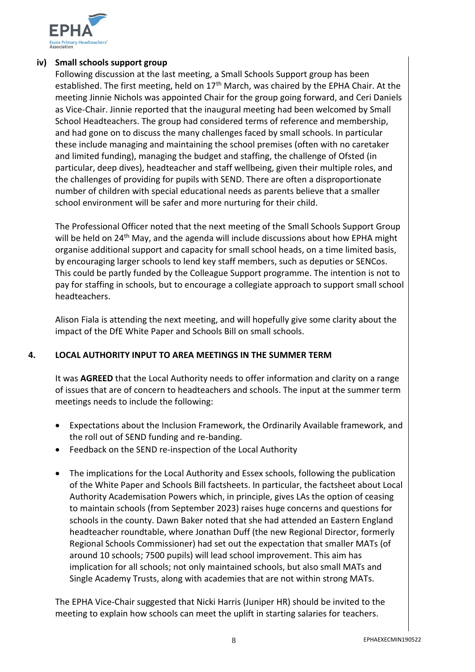

### **iv) Small schools support group**

Following discussion at the last meeting, a Small Schools Support group has been established. The first meeting, held on  $17<sup>th</sup>$  March, was chaired by the EPHA Chair. At the meeting Jinnie Nichols was appointed Chair for the group going forward, and Ceri Daniels as Vice-Chair. Jinnie reported that the inaugural meeting had been welcomed by Small School Headteachers. The group had considered terms of reference and membership, and had gone on to discuss the many challenges faced by small schools. In particular these include managing and maintaining the school premises (often with no caretaker and limited funding), managing the budget and staffing, the challenge of Ofsted (in particular, deep dives), headteacher and staff wellbeing, given their multiple roles, and the challenges of providing for pupils with SEND. There are often a disproportionate number of children with special educational needs as parents believe that a smaller school environment will be safer and more nurturing for their child.

The Professional Officer noted that the next meeting of the Small Schools Support Group will be held on 24<sup>th</sup> May, and the agenda will include discussions about how EPHA might organise additional support and capacity for small school heads, on a time limited basis, by encouraging larger schools to lend key staff members, such as deputies or SENCos. This could be partly funded by the Colleague Support programme. The intention is not to pay for staffing in schools, but to encourage a collegiate approach to support small school headteachers.

Alison Fiala is attending the next meeting, and will hopefully give some clarity about the impact of the DfE White Paper and Schools Bill on small schools.

### **4. LOCAL AUTHORITY INPUT TO AREA MEETINGS IN THE SUMMER TERM**

It was **AGREED** that the Local Authority needs to offer information and clarity on a range of issues that are of concern to headteachers and schools. The input at the summer term meetings needs to include the following:

- Expectations about the Inclusion Framework, the Ordinarily Available framework, and the roll out of SEND funding and re-banding.
- Feedback on the SEND re-inspection of the Local Authority
- The implications for the Local Authority and Essex schools, following the publication of the White Paper and Schools Bill factsheets. In particular, the factsheet about Local Authority Academisation Powers which, in principle, gives LAs the option of ceasing to maintain schools (from September 2023) raises huge concerns and questions for schools in the county. Dawn Baker noted that she had attended an Eastern England headteacher roundtable, where Jonathan Duff (the new Regional Director, formerly Regional Schools Commissioner) had set out the expectation that smaller MATs (of around 10 schools; 7500 pupils) will lead school improvement. This aim has implication for all schools; not only maintained schools, but also small MATs and Single Academy Trusts, along with academies that are not within strong MATs.

The EPHA Vice-Chair suggested that Nicki Harris (Juniper HR) should be invited to the meeting to explain how schools can meet the uplift in starting salaries for teachers.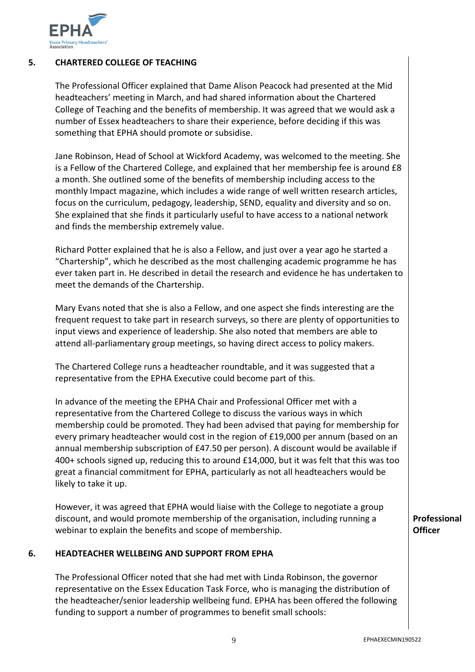

### **5. CHARTERED COLLEGE OF TEACHING**

The Professional Officer explained that Dame Alison Peacock had presented at the Mid headteachers' meeting in March, and had shared information about the Chartered College of Teaching and the benefits of membership. It was agreed that we would ask a number of Essex headteachers to share their experience, before deciding if this was something that EPHA should promote or subsidise.

Jane Robinson, Head of School at Wickford Academy, was welcomed to the meeting. She is a Fellow of the Chartered College, and explained that her membership fee is around £8 a month. She outlined some of the benefits of membership including access to the monthly Impact magazine, which includes a wide range of well written research articles, focus on the curriculum, pedagogy, leadership, SEND, equality and diversity and so on. She explained that she finds it particularly useful to have access to a national network and finds the membership extremely value.

Richard Potter explained that he is also a Fellow, and just over a year ago he started a "Chartership", which he described as the most challenging academic programme he has ever taken part in. He described in detail the research and evidence he has undertaken to meet the demands of the Chartership.

Mary Evans noted that she is also a Fellow, and one aspect she finds interesting are the frequent request to take part in research surveys, so there are plenty of opportunities to input views and experience of leadership. She also noted that members are able to attend all-parliamentary group meetings, so having direct access to policy makers.

The Chartered College runs a headteacher roundtable, and it was suggested that a representative from the EPHA Executive could become part of this.

In advance of the meeting the EPHA Chair and Professional Officer met with a representative from the Chartered College to discuss the various ways in which membership could be promoted. They had been advised that paying for membership for every primary headteacher would cost in the region of £19,000 per annum (based on an annual membership subscription of £47.50 per person). A discount would be available if 400+ schools signed up, reducing this to around £14,000, but it was felt that this was too great a financial commitment for EPHA, particularly as not all headteachers would be likely to take it up.

However, it was agreed that EPHA would liaise with the College to negotiate a group discount, and would promote membership of the organisation, including running a webinar to explain the benefits and scope of membership.

### **6. HEADTEACHER WELLBEING AND SUPPORT FROM EPHA**

The Professional Officer noted that she had met with Linda Robinson, the governor representative on the Essex Education Task Force, who is managing the distribution of the headteacher/senior leadership wellbeing fund. EPHA has been offered the following funding to support a number of programmes to benefit small schools:

**Professional Officer**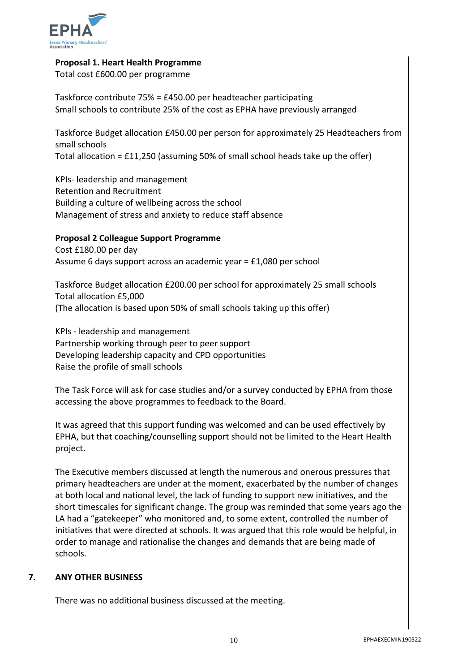

### **Proposal 1. Heart Health Programme**

Total cost £600.00 per programme

Taskforce contribute 75% = £450.00 per headteacher participating Small schools to contribute 25% of the cost as EPHA have previously arranged

Taskforce Budget allocation £450.00 per person for approximately 25 Headteachers from small schools Total allocation = £11,250 (assuming 50% of small school heads take up the offer)

KPIs- leadership and management Retention and Recruitment Building a culture of wellbeing across the school Management of stress and anxiety to reduce staff absence

### **Proposal 2 Colleague Support Programme**

Cost £180.00 per day Assume 6 days support across an academic year = £1,080 per school

Taskforce Budget allocation £200.00 per school for approximately 25 small schools Total allocation £5,000 (The allocation is based upon 50% of small schools taking up this offer)

KPIs - leadership and management Partnership working through peer to peer support Developing leadership capacity and CPD opportunities Raise the profile of small schools

The Task Force will ask for case studies and/or a survey conducted by EPHA from those accessing the above programmes to feedback to the Board.

It was agreed that this support funding was welcomed and can be used effectively by EPHA, but that coaching/counselling support should not be limited to the Heart Health project.

The Executive members discussed at length the numerous and onerous pressures that primary headteachers are under at the moment, exacerbated by the number of changes at both local and national level, the lack of funding to support new initiatives, and the short timescales for significant change. The group was reminded that some years ago the LA had a "gatekeeper" who monitored and, to some extent, controlled the number of initiatives that were directed at schools. It was argued that this role would be helpful, in order to manage and rationalise the changes and demands that are being made of schools.

### **7. ANY OTHER BUSINESS**

There was no additional business discussed at the meeting.